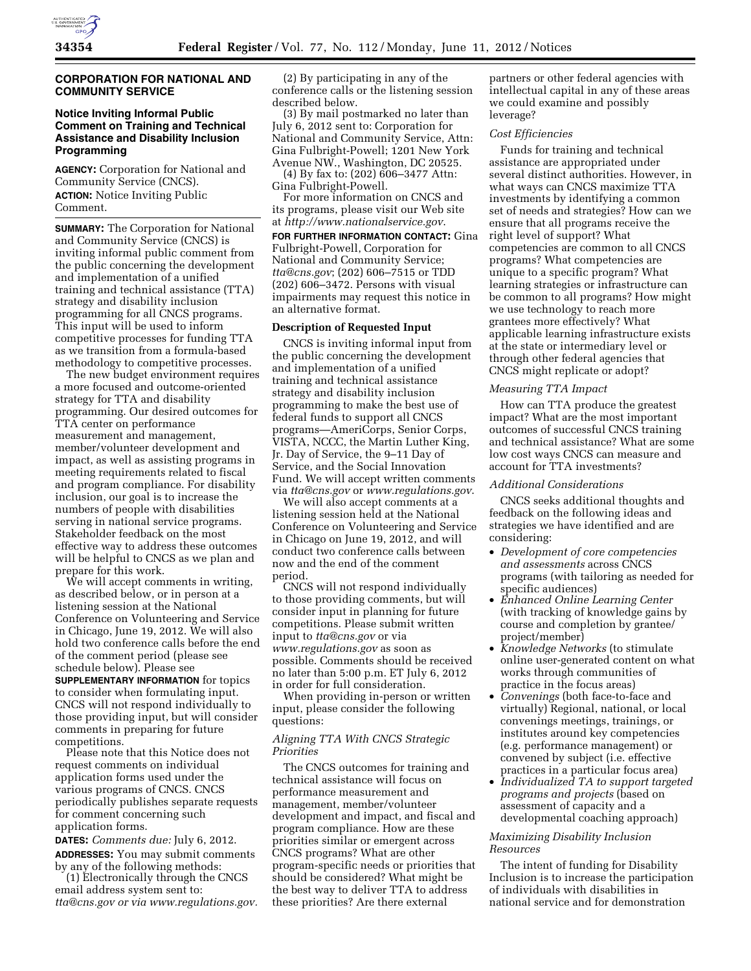# **CORPORATION FOR NATIONAL AND COMMUNITY SERVICE**

# **Notice Inviting Informal Public Comment on Training and Technical Assistance and Disability Inclusion Programming**

**AGENCY:** Corporation for National and Community Service (CNCS). **ACTION:** Notice Inviting Public Comment.

**SUMMARY:** The Corporation for National and Community Service (CNCS) is inviting informal public comment from the public concerning the development and implementation of a unified training and technical assistance (TTA) strategy and disability inclusion programming for all CNCS programs. This input will be used to inform competitive processes for funding TTA as we transition from a formula-based methodology to competitive processes.

The new budget environment requires a more focused and outcome-oriented strategy for TTA and disability programming. Our desired outcomes for TTA center on performance measurement and management, member/volunteer development and impact, as well as assisting programs in meeting requirements related to fiscal and program compliance. For disability inclusion, our goal is to increase the numbers of people with disabilities serving in national service programs. Stakeholder feedback on the most effective way to address these outcomes will be helpful to CNCS as we plan and prepare for this work.

We will accept comments in writing, as described below, or in person at a listening session at the National Conference on Volunteering and Service in Chicago, June 19, 2012. We will also hold two conference calls before the end of the comment period (please see schedule below). Please see **SUPPLEMENTARY INFORMATION** for topics to consider when formulating input. CNCS will not respond individually to those providing input, but will consider comments in preparing for future

competitions. Please note that this Notice does not request comments on individual application forms used under the various programs of CNCS. CNCS periodically publishes separate requests for comment concerning such application forms.

**DATES:** *Comments due:* July 6, 2012. **ADDRESSES:** You may submit comments by any of the following methods:

(1) Electronically through the CNCS email address system sent to: *[tta@cns.gov](mailto:tta@cns.gov) or via [www.regulations.gov.](http://www.regulations.gov)* 

(2) By participating in any of the conference calls or the listening session described below.

(3) By mail postmarked no later than July 6, 2012 sent to: Corporation for National and Community Service, Attn: Gina Fulbright-Powell; 1201 New York Avenue NW., Washington, DC 20525.

(4) By fax to: (202) 606–3477 Attn: Gina Fulbright-Powell.

For more information on CNCS and its programs, please visit our Web site at *<http://www.nationalservice.gov>*.

**FOR FURTHER INFORMATION CONTACT: Gina** Fulbright-Powell, Corporation for National and Community Service; *[tta@cns.gov](mailto:tta@cns.gov)*; (202) 606–7515 or TDD (202) 606–3472. Persons with visual impairments may request this notice in an alternative format.

## **Description of Requested Input**

CNCS is inviting informal input from the public concerning the development and implementation of a unified training and technical assistance strategy and disability inclusion programming to make the best use of federal funds to support all CNCS programs—AmeriCorps, Senior Corps, VISTA, NCCC, the Martin Luther King, Jr. Day of Service, the 9–11 Day of Service, and the Social Innovation Fund. We will accept written comments via *[tta@cns.gov](mailto:tta@cns.gov)* or *[www.regulations.gov](http://www.regulations.gov)*.

We will also accept comments at a listening session held at the National Conference on Volunteering and Service in Chicago on June 19, 2012, and will conduct two conference calls between now and the end of the comment period.

CNCS will not respond individually to those providing comments, but will consider input in planning for future competitions. Please submit written input to *[tta@cns.gov](mailto:tta@cns.gov)* or via *[www.regulations.gov](http://www.regulations.gov)* as soon as possible. Comments should be received no later than 5:00 p.m. ET July 6, 2012 in order for full consideration.

When providing in-person or written input, please consider the following questions:

### *Aligning TTA With CNCS Strategic Priorities*

The CNCS outcomes for training and technical assistance will focus on performance measurement and management, member/volunteer development and impact, and fiscal and program compliance. How are these priorities similar or emergent across CNCS programs? What are other program-specific needs or priorities that should be considered? What might be the best way to deliver TTA to address these priorities? Are there external

partners or other federal agencies with intellectual capital in any of these areas we could examine and possibly leverage?

#### *Cost Efficiencies*

Funds for training and technical assistance are appropriated under several distinct authorities. However, in what ways can CNCS maximize TTA investments by identifying a common set of needs and strategies? How can we ensure that all programs receive the right level of support? What competencies are common to all CNCS programs? What competencies are unique to a specific program? What learning strategies or infrastructure can be common to all programs? How might we use technology to reach more grantees more effectively? What applicable learning infrastructure exists at the state or intermediary level or through other federal agencies that CNCS might replicate or adopt?

### *Measuring TTA Impact*

How can TTA produce the greatest impact? What are the most important outcomes of successful CNCS training and technical assistance? What are some low cost ways CNCS can measure and account for TTA investments?

## *Additional Considerations*

CNCS seeks additional thoughts and feedback on the following ideas and strategies we have identified and are considering:

- *Development of core competencies and assessments* across CNCS programs (with tailoring as needed for specific audiences)
- *Enhanced Online Learning Center*  (with tracking of knowledge gains by course and completion by grantee/ project/member)
- *Knowledge Networks* (to stimulate online user-generated content on what works through communities of practice in the focus areas)
- *Convenings* (both face-to-face and virtually) Regional, national, or local convenings meetings, trainings, or institutes around key competencies (e.g. performance management) or convened by subject (i.e. effective practices in a particular focus area)
- *Individualized TA to support targeted programs and projects* (based on assessment of capacity and a developmental coaching approach)

### *Maximizing Disability Inclusion Resources*

The intent of funding for Disability Inclusion is to increase the participation of individuals with disabilities in national service and for demonstration